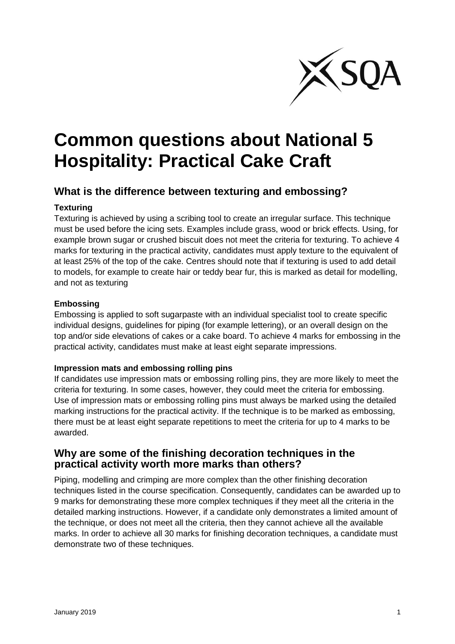

# **Common questions about National 5 Hospitality: Practical Cake Craft**

## **What is the difference between texturing and embossing?**

#### **Texturing**

Texturing is achieved by using a scribing tool to create an irregular surface. This technique must be used before the icing sets. Examples include grass, wood or brick effects. Using, for example brown sugar or crushed biscuit does not meet the criteria for texturing. To achieve 4 marks for texturing in the practical activity, candidates must apply texture to the equivalent of at least 25% of the top of the cake. Centres should note that if texturing is used to add detail to models, for example to create hair or teddy bear fur, this is marked as detail for modelling, and not as texturing

#### **Embossing**

Embossing is applied to soft sugarpaste with an individual specialist tool to create specific individual designs, guidelines for piping (for example lettering), or an overall design on the top and/or side elevations of cakes or a cake board. To achieve 4 marks for embossing in the practical activity, candidates must make at least eight separate impressions.

#### **Impression mats and embossing rolling pins**

If candidates use impression mats or embossing rolling pins, they are more likely to meet the criteria for texturing. In some cases, however, they could meet the criteria for embossing. Use of impression mats or embossing rolling pins must always be marked using the detailed marking instructions for the practical activity. If the technique is to be marked as embossing, there must be at least eight separate repetitions to meet the criteria for up to 4 marks to be awarded.

### **Why are some of the finishing decoration techniques in the practical activity worth more marks than others?**

Piping, modelling and crimping are more complex than the other finishing decoration techniques listed in the course specification. Consequently, candidates can be awarded up to 9 marks for demonstrating these more complex techniques if they meet all the criteria in the detailed marking instructions. However, if a candidate only demonstrates a limited amount of the technique, or does not meet all the criteria, then they cannot achieve all the available marks. In order to achieve all 30 marks for finishing decoration techniques, a candidate must demonstrate two of these techniques.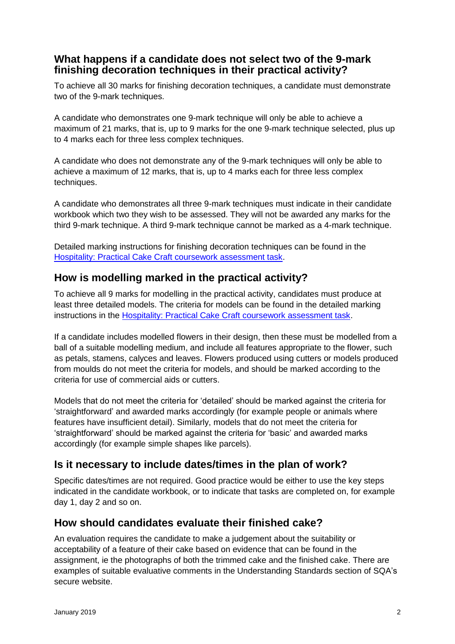## **What happens if a candidate does not select two of the 9-mark finishing decoration techniques in their practical activity?**

To achieve all 30 marks for finishing decoration techniques, a candidate must demonstrate two of the 9-mark techniques.

A candidate who demonstrates one 9-mark technique will only be able to achieve a maximum of 21 marks, that is, up to 9 marks for the one 9-mark technique selected, plus up to 4 marks each for three less complex techniques.

A candidate who does not demonstrate any of the 9-mark techniques will only be able to achieve a maximum of 12 marks, that is, up to 4 marks each for three less complex techniques.

A candidate who demonstrates all three 9-mark techniques must indicate in their candidate workbook which two they wish to be assessed. They will not be awarded any marks for the third 9-mark technique. A third 9-mark technique cannot be marked as a 4-mark technique.

Detailed marking instructions for finishing decoration techniques can be found in the [Hospitality: Practical Cake Craft coursework assessment task.](https://www.sqa.org.uk/sqa/56929.html)

# **How is modelling marked in the practical activity?**

To achieve all 9 marks for modelling in the practical activity, candidates must produce at least three detailed models. The criteria for models can be found in the detailed marking instructions in the [Hospitality: Practical Cake Craft coursework assessment task.](https://www.sqa.org.uk/sqa/56929.html)

If a candidate includes modelled flowers in their design, then these must be modelled from a ball of a suitable modelling medium, and include all features appropriate to the flower, such as petals, stamens, calyces and leaves. Flowers produced using cutters or models produced from moulds do not meet the criteria for models, and should be marked according to the criteria for use of commercial aids or cutters.

Models that do not meet the criteria for 'detailed' should be marked against the criteria for 'straightforward' and awarded marks accordingly (for example people or animals where features have insufficient detail). Similarly, models that do not meet the criteria for 'straightforward' should be marked against the criteria for 'basic' and awarded marks accordingly (for example simple shapes like parcels).

# **Is it necessary to include dates/times in the plan of work?**

Specific dates/times are not required. Good practice would be either to use the key steps indicated in the candidate workbook, or to indicate that tasks are completed on, for example day 1, day 2 and so on.

# **How should candidates evaluate their finished cake?**

An evaluation requires the candidate to make a judgement about the suitability or acceptability of a feature of their cake based on evidence that can be found in the assignment, ie the photographs of both the trimmed cake and the finished cake. There are examples of suitable evaluative comments in the Understanding Standards section of SQA's secure website.